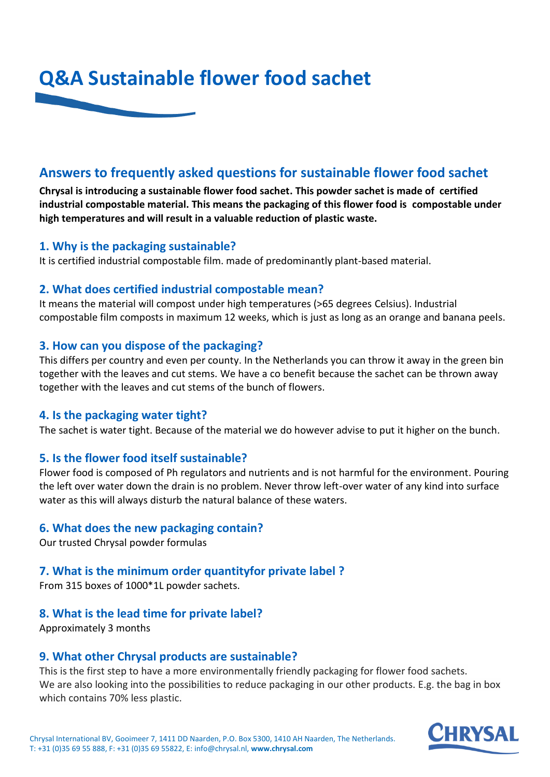

# **Answers to frequently asked questions for sustainable flower food sachet**

**Chrysal is introducing a sustainable flower food sachet. This powder sachet is made of certified industrial compostable material. This means the packaging of this flower food is compostable under high temperatures and will result in a valuable reduction of plastic waste.**

### **1. Why is the packaging sustainable?**

It is certified industrial compostable film. made of predominantly plant-based material.

### **2. What does certified industrial compostable mean?**

It means the material will compost under high temperatures (>65 degrees Celsius). Industrial compostable film composts in maximum 12 weeks, which is just as long as an orange and banana peels.

#### **3. How can you dispose of the packaging?**

This differs per country and even per county. In the Netherlands you can throw it away in the green bin together with the leaves and cut stems. We have a co benefit because the sachet can be thrown away together with the leaves and cut stems of the bunch of flowers.

#### **4. Is the packaging water tight?**

The sachet is water tight. Because of the material we do however advise to put it higher on the bunch.

## **5. Is the flower food itself sustainable?**

Flower food is composed of Ph regulators and nutrients and is not harmful for the environment. Pouring the left over water down the drain is no problem. Never throw left-over water of any kind into surface water as this will always disturb the natural balance of these waters.

#### **6. What does the new packaging contain?**

Our trusted Chrysal powder formulas

## **7. What is the minimum order quantityfor private label ?**

From 315 boxes of 1000\*1L powder sachets.

## **8. What is the lead time for private label?**

Approximately 3 months

#### **9. What other Chrysal products are sustainable?**

This is the first step to have a more environmentally friendly packaging for flower food sachets. We are also looking into the possibilities to reduce packaging in our other products. E.g. the bag in box which contains 70% less plastic.